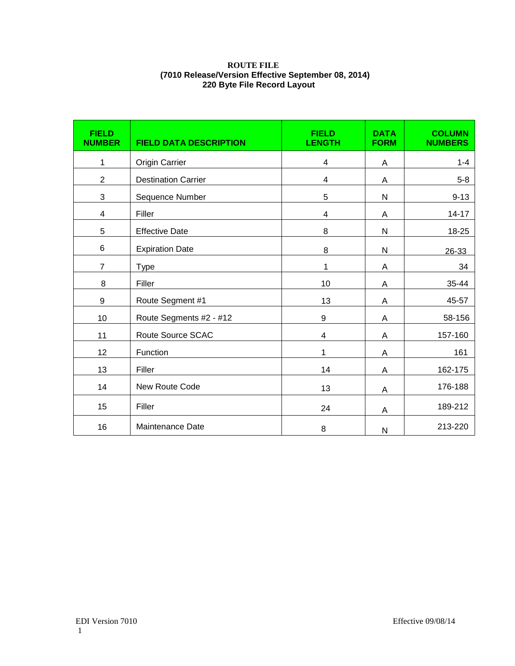## **ROUTE FILE (7010 Release/Version Effective September 08, 2014) 220 Byte File Record Layout**

| <b>FIELD</b><br><b>NUMBER</b> | <b>FIELD DATA DESCRIPTION</b> | <b>FIELD</b><br><b>LENGTH</b> | <b>DATA</b><br><b>FORM</b> | <b>COLUMN</b><br><b>NUMBERS</b> |
|-------------------------------|-------------------------------|-------------------------------|----------------------------|---------------------------------|
| 1                             | Origin Carrier                | 4                             | A                          | $1 - 4$                         |
| $\overline{2}$                | <b>Destination Carrier</b>    | 4                             | A                          | $5 - 8$                         |
| $\mathbf{3}$                  | Sequence Number               | 5                             | ${\sf N}$                  | $9 - 13$                        |
| 4                             | Filler                        | $\overline{\mathbf{4}}$       | A                          | $14 - 17$                       |
| 5                             | <b>Effective Date</b>         | 8                             | ${\sf N}$                  | 18-25                           |
| 6                             | <b>Expiration Date</b>        | 8                             | N                          | 26-33                           |
| $\overline{7}$                | <b>Type</b>                   | 1                             | A                          | 34                              |
| 8                             | Filler                        | 10                            | A                          | 35-44                           |
| $\boldsymbol{9}$              | Route Segment #1              | 13                            | A                          | 45-57                           |
| 10                            | Route Segments #2 - #12       | 9                             | A                          | 58-156                          |
| 11                            | Route Source SCAC             | 4                             | A                          | 157-160                         |
| 12                            | Function                      | 1                             | A                          | 161                             |
| 13                            | Filler                        | 14                            | A                          | 162-175                         |
| 14                            | New Route Code                | 13                            | A                          | 176-188                         |
| 15                            | Filler                        | 24                            | A                          | 189-212                         |
| 16                            | Maintenance Date              | 8                             | N                          | 213-220                         |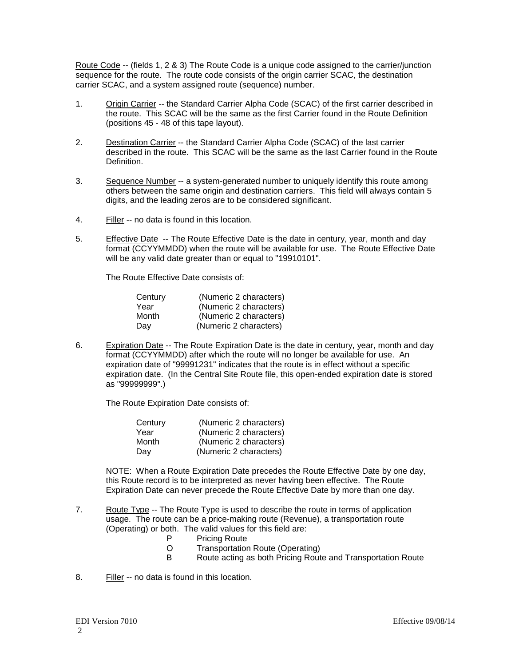Route Code -- (fields 1, 2 & 3) The Route Code is a unique code assigned to the carrier/junction sequence for the route. The route code consists of the origin carrier SCAC, the destination carrier SCAC, and a system assigned route (sequence) number.

- 1. Origin Carrier -- the Standard Carrier Alpha Code (SCAC) of the first carrier described in the route. This SCAC will be the same as the first Carrier found in the Route Definition (positions 45 - 48 of this tape layout).
- 2. Destination Carrier -- the Standard Carrier Alpha Code (SCAC) of the last carrier described in the route. This SCAC will be the same as the last Carrier found in the Route Definition.
- 3. Sequence Number -- a system-generated number to uniquely identify this route among others between the same origin and destination carriers. This field will always contain 5 digits, and the leading zeros are to be considered significant.
- 4. Filler -- no data is found in this location.
- 5. Effective Date -- The Route Effective Date is the date in century, year, month and day format (CCYYMMDD) when the route will be available for use. The Route Effective Date will be any valid date greater than or equal to "19910101".

The Route Effective Date consists of:

| Century | (Numeric 2 characters) |
|---------|------------------------|
| Year    | (Numeric 2 characters) |
| Month   | (Numeric 2 characters) |
| Day     | (Numeric 2 characters) |

6. Expiration Date -- The Route Expiration Date is the date in century, year, month and day format (CCYYMMDD) after which the route will no longer be available for use. An expiration date of "99991231" indicates that the route is in effect without a specific expiration date. (In the Central Site Route file, this open-ended expiration date is stored as "99999999".)

The Route Expiration Date consists of:

| Century | (Numeric 2 characters) |
|---------|------------------------|
| Year    | (Numeric 2 characters) |
| Month   | (Numeric 2 characters) |
| Day     | (Numeric 2 characters) |

NOTE: When a Route Expiration Date precedes the Route Effective Date by one day, this Route record is to be interpreted as never having been effective. The Route Expiration Date can never precede the Route Effective Date by more than one day.

- 7. Route Type -- The Route Type is used to describe the route in terms of application usage. The route can be a price-making route (Revenue), a transportation route (Operating) or both. The valid values for this field are:<br>P Pricing Route
	- P Pricing Route<br>O Transportation
	- O Transportation Route (Operating)
	- B Route acting as both Pricing Route and Transportation Route
- 8. Filler -- no data is found in this location.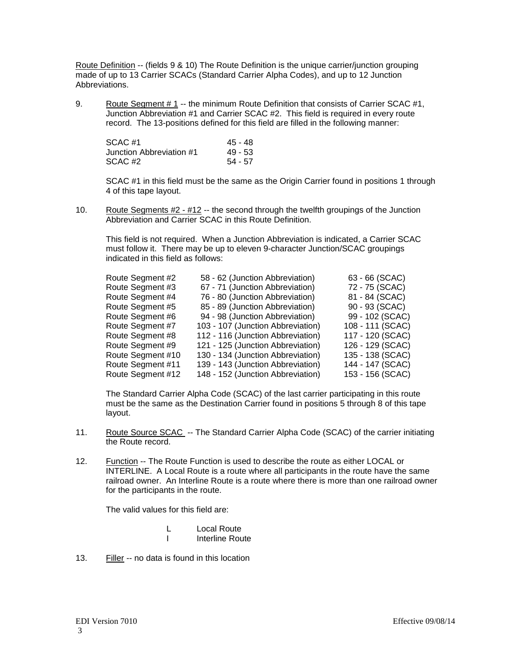Route Definition -- (fields 9 & 10) The Route Definition is the unique carrier/junction grouping made of up to 13 Carrier SCACs (Standard Carrier Alpha Codes), and up to 12 Junction Abbreviations.

9. Route Segment # 1 -- the minimum Route Definition that consists of Carrier SCAC #1, Junction Abbreviation #1 and Carrier SCAC #2. This field is required in every route record. The 13-positions defined for this field are filled in the following manner:

| SCAC#1                   | 45 - 48 |
|--------------------------|---------|
| Junction Abbreviation #1 | 49 - 53 |
| SCAC#2                   | 54 - 57 |

SCAC #1 in this field must be the same as the Origin Carrier found in positions 1 through 4 of this tape layout.

10. Route Segments #2 - #12 -- the second through the twelfth groupings of the Junction Abbreviation and Carrier SCAC in this Route Definition.

This field is not required. When a Junction Abbreviation is indicated, a Carrier SCAC must follow it. There may be up to eleven 9-character Junction/SCAC groupings indicated in this field as follows:

| Route Segment #2  | 58 - 62 (Junction Abbreviation)   | 63 - 66 (SCAC)   |
|-------------------|-----------------------------------|------------------|
| Route Segment #3  | 67 - 71 (Junction Abbreviation)   | 72 - 75 (SCAC)   |
| Route Segment #4  | 76 - 80 (Junction Abbreviation)   | 81 - 84 (SCAC)   |
| Route Segment #5  | 85 - 89 (Junction Abbreviation)   | 90 - 93 (SCAC)   |
| Route Segment #6  | 94 - 98 (Junction Abbreviation)   | 99 - 102 (SCAC)  |
| Route Segment #7  | 103 - 107 (Junction Abbreviation) | 108 - 111 (SCAC) |
| Route Segment #8  | 112 - 116 (Junction Abbreviation) | 117 - 120 (SCAC) |
| Route Segment #9  | 121 - 125 (Junction Abbreviation) | 126 - 129 (SCAC) |
| Route Segment #10 | 130 - 134 (Junction Abbreviation) | 135 - 138 (SCAC) |
| Route Segment #11 | 139 - 143 (Junction Abbreviation) | 144 - 147 (SCAC) |
| Route Segment #12 | 148 - 152 (Junction Abbreviation) | 153 - 156 (SCAC) |

The Standard Carrier Alpha Code (SCAC) of the last carrier participating in this route must be the same as the Destination Carrier found in positions 5 through 8 of this tape layout.

- 11. Route Source SCAC -- The Standard Carrier Alpha Code (SCAC) of the carrier initiating the Route record.
- 12. Function -- The Route Function is used to describe the route as either LOCAL or INTERLINE. A Local Route is a route where all participants in the route have the same railroad owner. An Interline Route is a route where there is more than one railroad owner for the participants in the route.

The valid values for this field are:

- L Local Route<br>I lnterline Rou
- **Interline Route**
- 13. Filler -- no data is found in this location